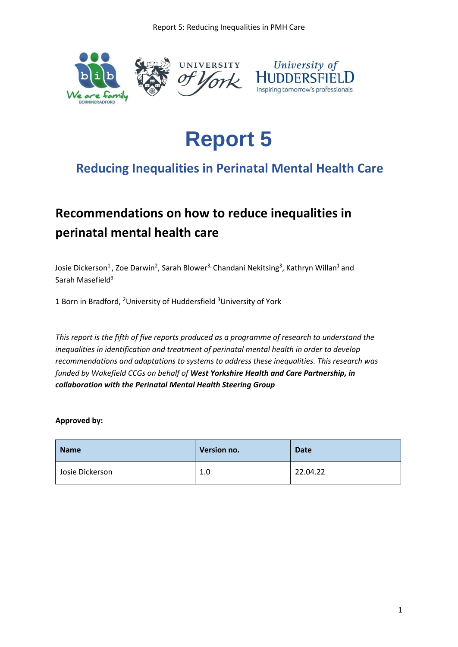

# **Report 5**

## **Reducing Inequalities in Perinatal Mental Health Care**

## **Recommendations on how to reduce inequalities in perinatal mental health care**

Josie Dickerson<sup>1</sup>, Zoe Darwin<sup>2</sup>, Sarah Blower<sup>3,</sup> Chandani Nekitsing<sup>3</sup>, Kathryn Willan<sup>1</sup> and Sarah Masefield<sup>3</sup>

1 Born in Bradford, <sup>2</sup>University of Huddersfield <sup>3</sup>University of York

*This report is the fifth of five reports produced as a programme of research to understand the inequalities in identification and treatment of perinatal mental health in order to develop recommendations and adaptations to systems to address these inequalities. This research was funded by Wakefield CCGs on behalf of West Yorkshire Health and Care Partnership, in collaboration with the Perinatal Mental Health Steering Group*

### **Approved by:**

| <b>Name</b>     | Version no. | <b>Date</b> |
|-----------------|-------------|-------------|
| Josie Dickerson | 1.0         | 22.04.22    |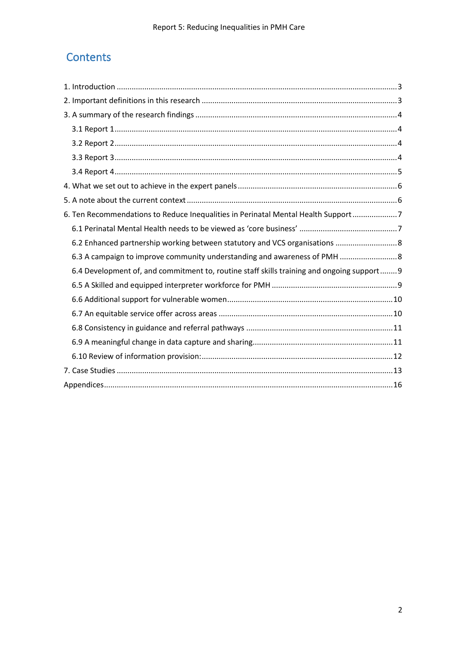## **Contents**

| 6. Ten Recommendations to Reduce Inequalities in Perinatal Mental Health Support 7         |
|--------------------------------------------------------------------------------------------|
|                                                                                            |
| 6.2 Enhanced partnership working between statutory and VCS organisations  8                |
| 6.3 A campaign to improve community understanding and awareness of PMH  8                  |
| 6.4 Development of, and commitment to, routine staff skills training and ongoing support 9 |
|                                                                                            |
|                                                                                            |
|                                                                                            |
|                                                                                            |
|                                                                                            |
|                                                                                            |
|                                                                                            |
|                                                                                            |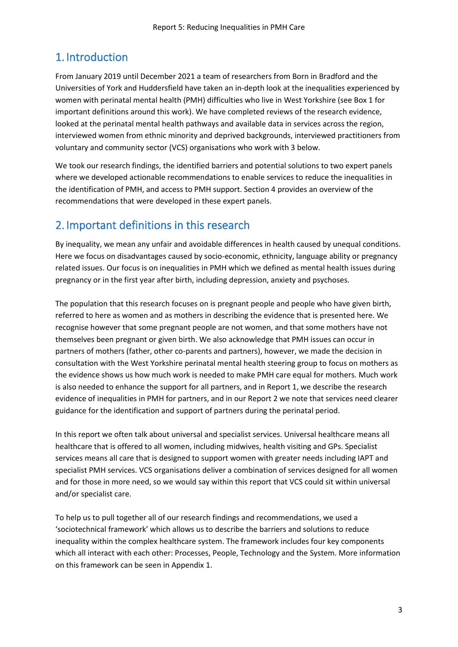## <span id="page-2-0"></span>1. Introduction

From January 2019 until December 2021 a team of researchers from Born in Bradford and the Universities of York and Huddersfield have taken an in-depth look at the inequalities experienced by women with perinatal mental health (PMH) difficulties who live in West Yorkshire (see Box 1 for important definitions around this work). We have completed reviews of the research evidence, looked at the perinatal mental health pathways and available data in services across the region, interviewed women from ethnic minority and deprived backgrounds, interviewed practitioners from voluntary and community sector (VCS) organisations who work with 3 below.

We took our research findings, the identified barriers and potential solutions to two expert panels where we developed actionable recommendations to enable services to reduce the inequalities in the identification of PMH, and access to PMH support. Section 4 provides an overview of the recommendations that were developed in these expert panels.

## <span id="page-2-1"></span>2. Important definitions in this research

By inequality, we mean any unfair and avoidable differences in health caused by unequal conditions. Here we focus on disadvantages caused by socio-economic, ethnicity, language ability or pregnancy related issues. Our focus is on inequalities in PMH which we defined as mental health issues during pregnancy or in the first year after birth, including depression, anxiety and psychoses.

The population that this research focuses on is pregnant people and people who have given birth, referred to here as women and as mothers in describing the evidence that is presented here. We recognise however that some pregnant people are not women, and that some mothers have not themselves been pregnant or given birth. We also acknowledge that PMH issues can occur in partners of mothers (father, other co-parents and partners), however, we made the decision in consultation with the West Yorkshire perinatal mental health steering group to focus on mothers as the evidence shows us how much work is needed to make PMH care equal for mothers. Much work is also needed to enhance the support for all partners, and in Report 1, we describe the research evidence of inequalities in PMH for partners, and in our Report 2 we note that services need clearer guidance for the identification and support of partners during the perinatal period.

In this report we often talk about universal and specialist services. Universal healthcare means all healthcare that is offered to all women, including midwives, health visiting and GPs. Specialist services means all care that is designed to support women with greater needs including IAPT and specialist PMH services. VCS organisations deliver a combination of services designed for all women and for those in more need, so we would say within this report that VCS could sit within universal and/or specialist care.

To help us to pull together all of our research findings and recommendations, we used a 'sociotechnical framework' which allows us to describe the barriers and solutions to reduce inequality within the complex healthcare system. The framework includes four key components which all interact with each other: Processes, People, Technology and the System. More information on this framework can be seen in Appendix 1.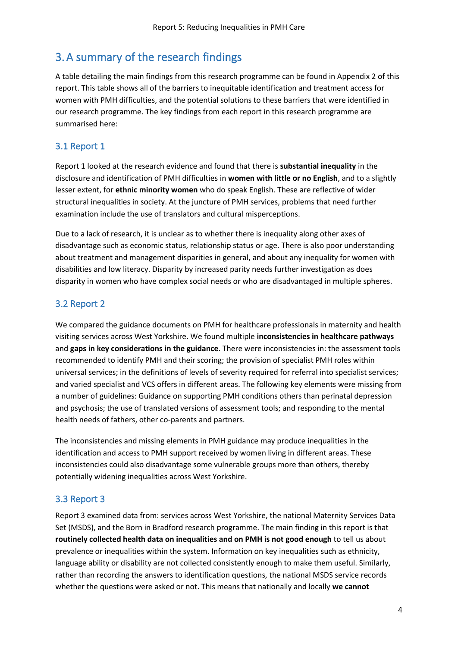## <span id="page-3-0"></span>3.A summary of the research findings

A table detailing the main findings from this research programme can be found in Appendix 2 of this report. This table shows all of the barriers to inequitable identification and treatment access for women with PMH difficulties, and the potential solutions to these barriers that were identified in our research programme. The key findings from each report in this research programme are summarised here:

### <span id="page-3-1"></span>3.1 Report 1

Report 1 looked at the research evidence and found that there is **substantial inequality** in the disclosure and identification of PMH difficulties in **women with little or no English**, and to a slightly lesser extent, for **ethnic minority women** who do speak English. These are reflective of wider structural inequalities in society. At the juncture of PMH services, problems that need further examination include the use of translators and cultural misperceptions.

Due to a lack of research, it is unclear as to whether there is inequality along other axes of disadvantage such as economic status, relationship status or age. There is also poor understanding about treatment and management disparities in general, and about any inequality for women with disabilities and low literacy. Disparity by increased parity needs further investigation as does disparity in women who have complex social needs or who are disadvantaged in multiple spheres.

### <span id="page-3-2"></span>3.2 Report 2

We compared the guidance documents on PMH for healthcare professionals in maternity and health visiting services across West Yorkshire. We found multiple **inconsistencies in healthcare pathways** and **gaps in key considerations in the guidance**. There were inconsistencies in: the assessment tools recommended to identify PMH and their scoring; the provision of specialist PMH roles within universal services; in the definitions of levels of severity required for referral into specialist services; and varied specialist and VCS offers in different areas. The following key elements were missing from a number of guidelines: Guidance on supporting PMH conditions others than perinatal depression and psychosis; the use of translated versions of assessment tools; and responding to the mental health needs of fathers, other co-parents and partners.

The inconsistencies and missing elements in PMH guidance may produce inequalities in the identification and access to PMH support received by women living in different areas. These inconsistencies could also disadvantage some vulnerable groups more than others, thereby potentially widening inequalities across West Yorkshire.

### <span id="page-3-3"></span>3.3 Report 3

Report 3 examined data from: services across West Yorkshire, the national Maternity Services Data Set (MSDS), and the Born in Bradford research programme. The main finding in this report is that **routinely collected health data on inequalities and on PMH is not good enough** to tell us about prevalence or inequalities within the system. Information on key inequalities such as ethnicity, language ability or disability are not collected consistently enough to make them useful. Similarly, rather than recording the answers to identification questions, the national MSDS service records whether the questions were asked or not. This means that nationally and locally **we cannot**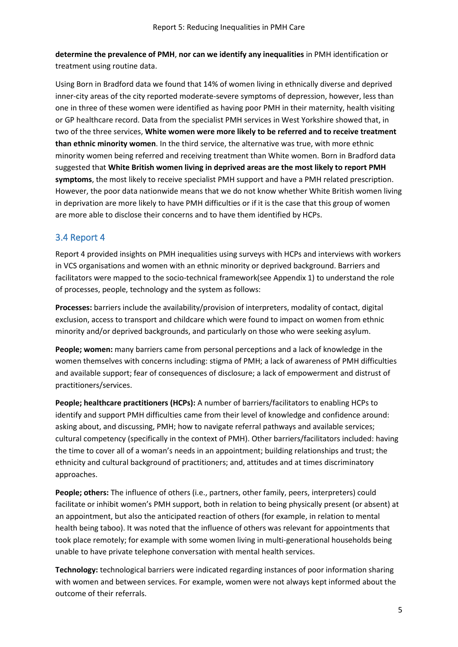**determine the prevalence of PMH**, **nor can we identify any inequalities** in PMH identification or treatment using routine data.

Using Born in Bradford data we found that 14% of women living in ethnically diverse and deprived inner-city areas of the city reported moderate-severe symptoms of depression, however, less than one in three of these women were identified as having poor PMH in their maternity, health visiting or GP healthcare record. Data from the specialist PMH services in West Yorkshire showed that, in two of the three services, **White women were more likely to be referred and to receive treatment than ethnic minority women**. In the third service, the alternative was true, with more ethnic minority women being referred and receiving treatment than White women. Born in Bradford data suggested that **White British women living in deprived areas are the most likely to report PMH symptoms**, the most likely to receive specialist PMH support and have a PMH related prescription. However, the poor data nationwide means that we do not know whether White British women living in deprivation are more likely to have PMH difficulties or if it is the case that this group of women are more able to disclose their concerns and to have them identified by HCPs.

### <span id="page-4-0"></span>3.4 Report 4

Report 4 provided insights on PMH inequalities using surveys with HCPs and interviews with workers in VCS organisations and women with an ethnic minority or deprived background. Barriers and facilitators were mapped to the socio-technical framework(see Appendix 1) to understand the role of processes, people, technology and the system as follows:

**Processes:** barriers include the availability/provision of interpreters, modality of contact, digital exclusion, access to transport and childcare which were found to impact on women from ethnic minority and/or deprived backgrounds, and particularly on those who were seeking asylum.

**People; women:** many barriers came from personal perceptions and a lack of knowledge in the women themselves with concerns including: stigma of PMH; a lack of awareness of PMH difficulties and available support; fear of consequences of disclosure; a lack of empowerment and distrust of practitioners/services.

**People; healthcare practitioners (HCPs):** A number of barriers/facilitators to enabling HCPs to identify and support PMH difficulties came from their level of knowledge and confidence around: asking about, and discussing, PMH; how to navigate referral pathways and available services; cultural competency (specifically in the context of PMH). Other barriers/facilitators included: having the time to cover all of a woman's needs in an appointment; building relationships and trust; the ethnicity and cultural background of practitioners; and, attitudes and at times discriminatory approaches.

**People; others:** The influence of others (i.e., partners, other family, peers, interpreters) could facilitate or inhibit women's PMH support, both in relation to being physically present (or absent) at an appointment, but also the anticipated reaction of others (for example, in relation to mental health being taboo). It was noted that the influence of others was relevant for appointments that took place remotely; for example with some women living in multi-generational households being unable to have private telephone conversation with mental health services.

**Technology:** technological barriers were indicated regarding instances of poor information sharing with women and between services. For example, women were not always kept informed about the outcome of their referrals.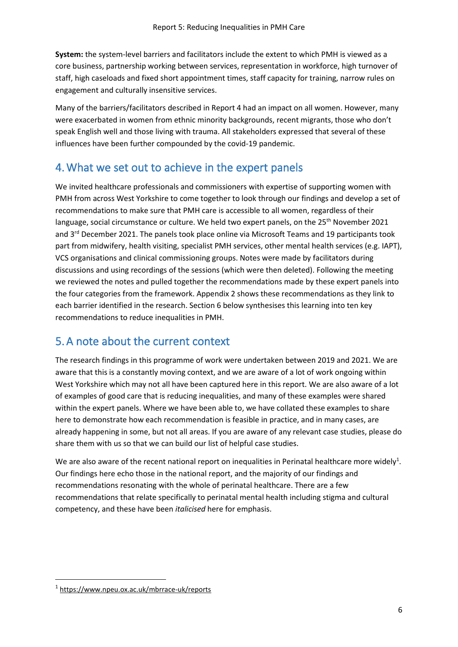**System:** the system-level barriers and facilitators include the extent to which PMH is viewed as a core business, partnership working between services, representation in workforce, high turnover of staff, high caseloads and fixed short appointment times, staff capacity for training, narrow rules on engagement and culturally insensitive services.

Many of the barriers/facilitators described in Report 4 had an impact on all women. However, many were exacerbated in women from ethnic minority backgrounds, recent migrants, those who don't speak English well and those living with trauma. All stakeholders expressed that several of these influences have been further compounded by the covid-19 pandemic.

## <span id="page-5-0"></span>4.What we set out to achieve in the expert panels

We invited healthcare professionals and commissioners with expertise of supporting women with PMH from across West Yorkshire to come together to look through our findings and develop a set of recommendations to make sure that PMH care is accessible to all women, regardless of their language, social circumstance or culture. We held two expert panels, on the 25<sup>th</sup> November 2021 and 3<sup>rd</sup> December 2021. The panels took place online via Microsoft Teams and 19 participants took part from midwifery, health visiting, specialist PMH services, other mental health services (e.g. IAPT), VCS organisations and clinical commissioning groups. Notes were made by facilitators during discussions and using recordings of the sessions (which were then deleted). Following the meeting we reviewed the notes and pulled together the recommendations made by these expert panels into the four categories from the framework. Appendix 2 shows these recommendations as they link to each barrier identified in the research. Section 6 below synthesises this learning into ten key recommendations to reduce inequalities in PMH.

## <span id="page-5-1"></span>5.A note about the current context

The research findings in this programme of work were undertaken between 2019 and 2021. We are aware that this is a constantly moving context, and we are aware of a lot of work ongoing within West Yorkshire which may not all have been captured here in this report. We are also aware of a lot of examples of good care that is reducing inequalities, and many of these examples were shared within the expert panels. Where we have been able to, we have collated these examples to share here to demonstrate how each recommendation is feasible in practice, and in many cases, are already happening in some, but not all areas. If you are aware of any relevant case studies, please do share them with us so that we can build our list of helpful case studies.

We are also aware of the recent national report on inequalities in Perinatal healthcare more widely<sup>1</sup>. Our findings here echo those in the national report, and the majority of our findings and recommendations resonating with the whole of perinatal healthcare. There are a few recommendations that relate specifically to perinatal mental health including stigma and cultural competency, and these have been *italicised* here for emphasis.

<sup>1</sup> <https://www.npeu.ox.ac.uk/mbrrace-uk/reports>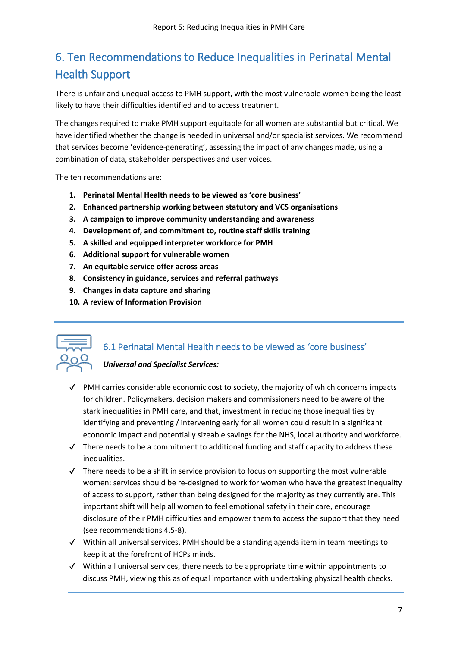## <span id="page-6-0"></span>6. Ten Recommendations to Reduce Inequalities in Perinatal Mental Health Support

There is unfair and unequal access to PMH support, with the most vulnerable women being the least likely to have their difficulties identified and to access treatment.

The changes required to make PMH support equitable for all women are substantial but critical. We have identified whether the change is needed in universal and/or specialist services. We recommend that services become 'evidence-generating', assessing the impact of any changes made, using a combination of data, stakeholder perspectives and user voices.

The ten recommendations are:

- **1. Perinatal Mental Health needs to be viewed as 'core business'**
- **2. Enhanced partnership working between statutory and VCS organisations**
- **3. A campaign to improve community understanding and awareness**
- **4. Development of, and commitment to, routine staff skills training**
- **5. A skilled and equipped interpreter workforce for PMH**
- **6. Additional support for vulnerable women**
- **7. An equitable service offer across areas**
- **8. Consistency in guidance, services and referral pathways**
- **9. Changes in data capture and sharing**
- **10. A review of Information Provision**



### <span id="page-6-1"></span>6.1 Perinatal Mental Health needs to be viewed as 'core business'

- ✔ PMH carries considerable economic cost to society, the majority of which concerns impacts for children. Policymakers, decision makers and commissioners need to be aware of the stark inequalities in PMH care, and that, investment in reducing those inequalities by identifying and preventing / intervening early for all women could result in a significant economic impact and potentially sizeable savings for the NHS, local authority and workforce.
- $\checkmark$  There needs to be a commitment to additional funding and staff capacity to address these inequalities.
- $\checkmark$  There needs to be a shift in service provision to focus on supporting the most vulnerable women: services should be re-designed to work for women who have the greatest inequality of access to support, rather than being designed for the majority as they currently are. This important shift will help all women to feel emotional safety in their care, encourage disclosure of their PMH difficulties and empower them to access the support that they need (see recommendations 4.5-8).
- ✔ Within all universal services, PMH should be a standing agenda item in team meetings to keep it at the forefront of HCPs minds.
- $\checkmark$  Within all universal services, there needs to be appropriate time within appointments to discuss PMH, viewing this as of equal importance with undertaking physical health checks.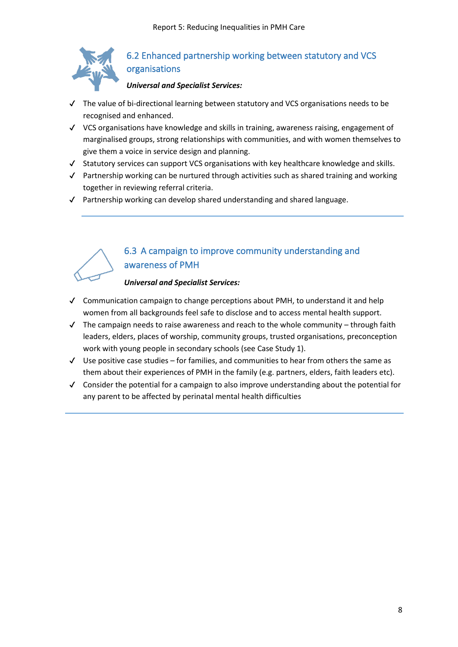

### <span id="page-7-0"></span>6.2 Enhanced partnership working between statutory and VCS organisations

### *Universal and Specialist Services:*

- ✔ The value of bi-directional learning between statutory and VCS organisations needs to be recognised and enhanced.
- ✔ VCS organisations have knowledge and skills in training, awareness raising, engagement of marginalised groups, strong relationships with communities, and with women themselves to give them a voice in service design and planning.
- ✔ Statutory services can support VCS organisations with key healthcare knowledge and skills.
- ✔ Partnership working can be nurtured through activities such as shared training and working together in reviewing referral criteria.
- ✔ Partnership working can develop shared understanding and shared language.



### <span id="page-7-1"></span>6.3 A campaign to improve community understanding and awareness of PMH

- ✔ Communication campaign to change perceptions about PMH, to understand it and help women from all backgrounds feel safe to disclose and to access mental health support.
- $\checkmark$  The campaign needs to raise awareness and reach to the whole community through faith leaders, elders, places of worship, community groups, trusted organisations, preconception work with young people in secondary schools (see Case Study 1).
- ✔ Use positive case studies for families, and communities to hear from others the same as them about their experiences of PMH in the family (e.g. partners, elders, faith leaders etc).
- ✔ Consider the potential for a campaign to also improve understanding about the potential for any parent to be affected by perinatal mental health difficulties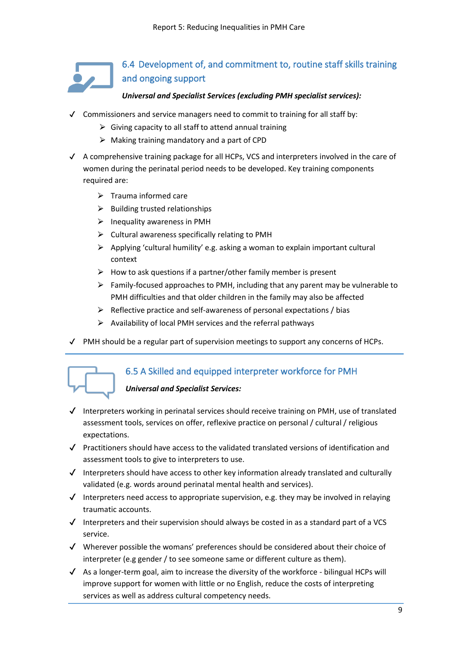

### <span id="page-8-0"></span>*Universal and Specialist Services (excluding PMH specialist services):*

- $\checkmark$  Commissioners and service managers need to commit to training for all staff by:
	- $\triangleright$  Giving capacity to all staff to attend annual training
	- $\triangleright$  Making training mandatory and a part of CPD
- $\checkmark$  A comprehensive training package for all HCPs, VCS and interpreters involved in the care of women during the perinatal period needs to be developed. Key training components required are:
	- $\triangleright$  Trauma informed care
	- $\triangleright$  Building trusted relationships
	- $\triangleright$  Inequality awareness in PMH
	- $\triangleright$  Cultural awareness specifically relating to PMH
	- $\triangleright$  Applying 'cultural humility' e.g. asking a woman to explain important cultural context
	- $\triangleright$  How to ask questions if a partner/other family member is present
	- $\triangleright$  Family-focused approaches to PMH, including that any parent may be vulnerable to PMH difficulties and that older children in the family may also be affected
	- $\triangleright$  Reflective practice and self-awareness of personal expectations / bias
	- $\triangleright$  Availability of local PMH services and the referral pathways
- $\checkmark$  PMH should be a regular part of supervision meetings to support any concerns of HCPs.

<span id="page-8-1"></span>

- $\checkmark$  Interpreters working in perinatal services should receive training on PMH, use of translated assessment tools, services on offer, reflexive practice on personal / cultural / religious expectations.
- ✔ Practitioners should have access to the validated translated versions of identification and assessment tools to give to interpreters to use.
- $\checkmark$  Interpreters should have access to other key information already translated and culturally validated (e.g. words around perinatal mental health and services).
- $\checkmark$  Interpreters need access to appropriate supervision, e.g. they may be involved in relaying traumatic accounts.
- $\checkmark$  Interpreters and their supervision should always be costed in as a standard part of a VCS service.
- $\checkmark$  Wherever possible the womans' preferences should be considered about their choice of interpreter (e.g gender / to see someone same or different culture as them).
- $\checkmark$  As a longer-term goal, aim to increase the diversity of the workforce bilingual HCPs will improve support for women with little or no English, reduce the costs of interpreting services as well as address cultural competency needs.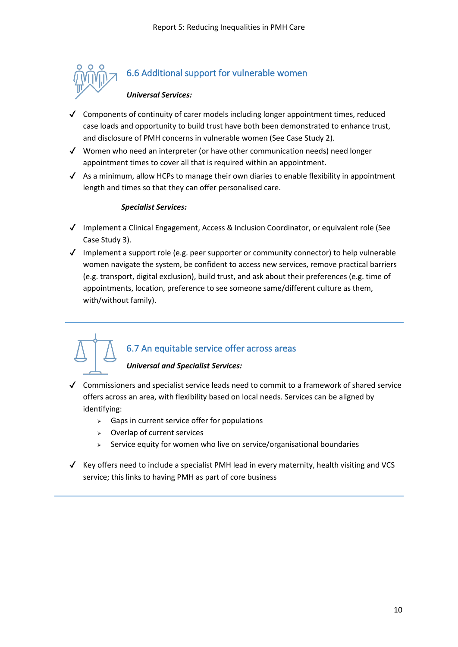

### <span id="page-9-0"></span>6.6 Additional support for vulnerable women

### *Universal Services:*

- $\checkmark$  Components of continuity of carer models including longer appointment times, reduced case loads and opportunity to build trust have both been demonstrated to enhance trust, and disclosure of PMH concerns in vulnerable women (See Case Study 2).
- ✔ Women who need an interpreter (or have other communication needs) need longer appointment times to cover all that is required within an appointment.
- $\checkmark$  As a minimum, allow HCPs to manage their own diaries to enable flexibility in appointment length and times so that they can offer personalised care.

### *Specialist Services:*

- ✔ Implement a Clinical Engagement, Access & Inclusion Coordinator, or equivalent role (See Case Study 3).
- ✔ Implement a support role (e.g. peer supporter or community connector) to help vulnerable women navigate the system, be confident to access new services, remove practical barriers (e.g. transport, digital exclusion), build trust, and ask about their preferences (e.g. time of appointments, location, preference to see someone same/different culture as them, with/without family).

### <span id="page-9-1"></span>6.7 An equitable service offer across areas

- ✔ Commissioners and specialist service leads need to commit to a framework of shared service offers across an area, with flexibility based on local needs. Services can be aligned by identifying:
	- $\geq$  Gaps in current service offer for populations
	- ⮚ Overlap of current services
	- ⮚ Service equity for women who live on service/organisational boundaries
- $\checkmark$  Key offers need to include a specialist PMH lead in every maternity, health visiting and VCS service; this links to having PMH as part of core business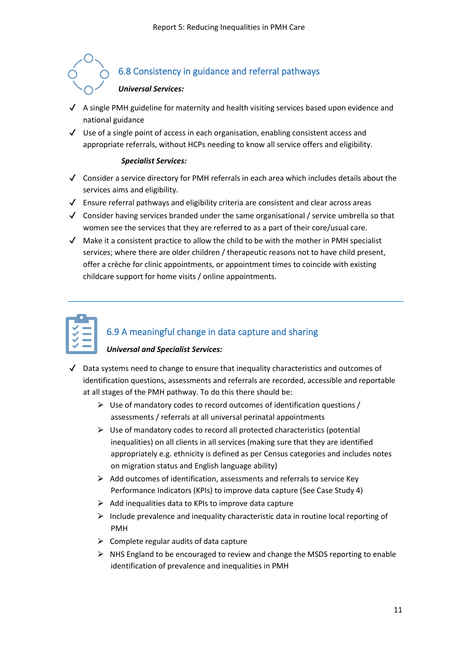## <span id="page-10-0"></span>6.8 Consistency in guidance and referral pathways *Universal Services:*

- $\blacklozenge$  A single PMH guideline for maternity and health visiting services based upon evidence and national guidance
- $\checkmark$  Use of a single point of access in each organisation, enabling consistent access and appropriate referrals, without HCPs needing to know all service offers and eligibility.

### *Specialist Services:*

- ✔ Consider a service directory for PMH referrals in each area which includes details about the services aims and eligibility.
- ✔ Ensure referral pathways and eligibility criteria are consistent and clear across areas
- $\checkmark$  Consider having services branded under the same organisational / service umbrella so that women see the services that they are referred to as a part of their core/usual care.
- $\checkmark$  Make it a consistent practice to allow the child to be with the mother in PMH specialist services; where there are older children / therapeutic reasons not to have child present, offer a crèche for clinic appointments, or appointment times to coincide with existing childcare support for home visits / online appointments.

## <span id="page-10-1"></span>6.9 A meaningful change in data capture and sharing

- $\checkmark$  Data systems need to change to ensure that inequality characteristics and outcomes of identification questions, assessments and referrals are recorded, accessible and reportable at all stages of the PMH pathway. To do this there should be:
	- $\triangleright$  Use of mandatory codes to record outcomes of identification questions / assessments / referrals at all universal perinatal appointments
	- $\triangleright$  Use of mandatory codes to record all protected characteristics (potential inequalities) on all clients in all services (making sure that they are identified appropriately e.g. ethnicity is defined as per Census categories and includes notes on migration status and English language ability)
	- $\triangleright$  Add outcomes of identification, assessments and referrals to service Key Performance Indicators (KPIs) to improve data capture (See Case Study 4)
	- $\triangleright$  Add inequalities data to KPIs to improve data capture
	- $\triangleright$  Include prevalence and inequality characteristic data in routine local reporting of PMH
	- $\triangleright$  Complete regular audits of data capture
	- $\triangleright$  NHS England to be encouraged to review and change the MSDS reporting to enable identification of prevalence and inequalities in PMH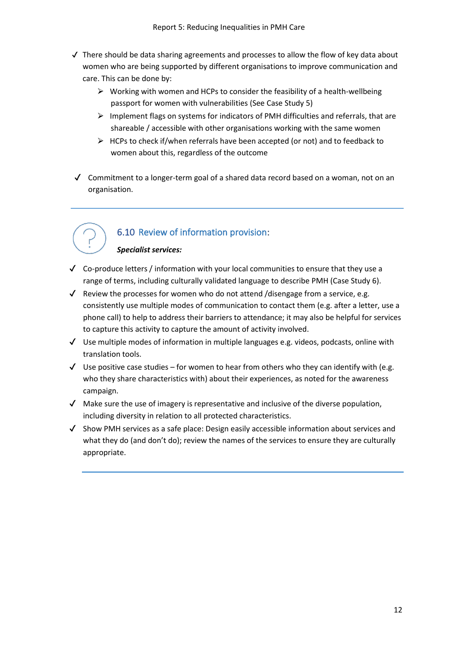- ✔ There should be data sharing agreements and processes to allow the flow of key data about women who are being supported by different organisations to improve communication and care. This can be done by:
	- $\triangleright$  Working with women and HCPs to consider the feasibility of a health-wellbeing passport for women with vulnerabilities (See Case Study 5)
	- $\triangleright$  Implement flags on systems for indicators of PMH difficulties and referrals, that are shareable / accessible with other organisations working with the same women
	- $\triangleright$  HCPs to check if/when referrals have been accepted (or not) and to feedback to women about this, regardless of the outcome
- $\checkmark$  Commitment to a longer-term goal of a shared data record based on a woman, not on an organisation.



### <span id="page-11-0"></span>6.10 Review of information provision:

### *Specialist services:*

- $\checkmark$  Co-produce letters / information with your local communities to ensure that they use a range of terms, including culturally validated language to describe PMH (Case Study 6).
- $\checkmark$  Review the processes for women who do not attend /disengage from a service, e.g. consistently use multiple modes of communication to contact them (e.g. after a letter, use a phone call) to help to address their barriers to attendance; it may also be helpful for services to capture this activity to capture the amount of activity involved.
- $\checkmark$  Use multiple modes of information in multiple languages e.g. videos, podcasts, online with translation tools.
- $\checkmark$  Use positive case studies for women to hear from others who they can identify with (e.g. who they share characteristics with) about their experiences, as noted for the awareness campaign.
- $\checkmark$  Make sure the use of imagery is representative and inclusive of the diverse population, including diversity in relation to all protected characteristics.
- $\checkmark$  Show PMH services as a safe place: Design easily accessible information about services and what they do (and don't do); review the names of the services to ensure they are culturally appropriate.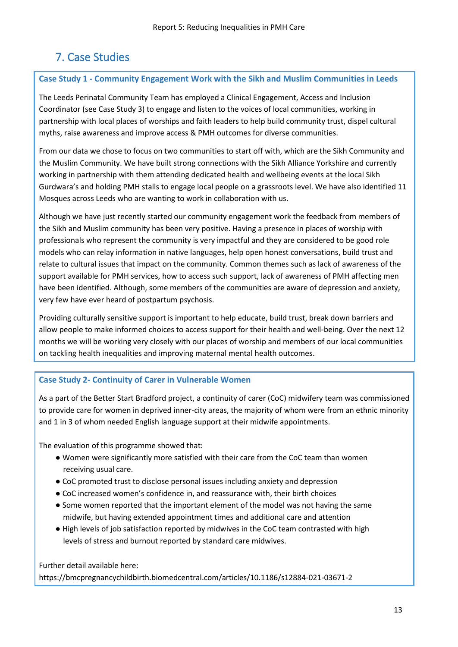## <span id="page-12-0"></span>7. Case Studies

### **Case Study 1 - Community Engagement Work with the Sikh and Muslim Communities in Leeds**

The Leeds Perinatal Community Team has employed a Clinical Engagement, Access and Inclusion Coordinator (see Case Study 3) to engage and listen to the voices of local communities, working in partnership with local places of worships and faith leaders to help build community trust, dispel cultural myths, raise awareness and improve access & PMH outcomes for diverse communities.

From our data we chose to focus on two communities to start off with, which are the Sikh Community and the Muslim Community. We have built strong connections with the Sikh Alliance Yorkshire and currently working in partnership with them attending dedicated health and wellbeing events at the local Sikh Gurdwara's and holding PMH stalls to engage local people on a grassroots level. We have also identified 11 Mosques across Leeds who are wanting to work in collaboration with us.

Although we have just recently started our community engagement work the feedback from members of the Sikh and Muslim community has been very positive. Having a presence in places of worship with professionals who represent the community is very impactful and they are considered to be good role models who can relay information in native languages, help open honest conversations, build trust and relate to cultural issues that impact on the community. Common themes such as lack of awareness of the support available for PMH services, how to access such support, lack of awareness of PMH affecting men have been identified. Although, some members of the communities are aware of depression and anxiety, very few have ever heard of postpartum psychosis.

Providing culturally sensitive support is important to help educate, build trust, break down barriers and allow people to make informed choices to access support for their health and well-being. Over the next 12 months we will be working very closely with our places of worship and members of our local communities on tackling health inequalities and improving maternal mental health outcomes.

### **Case Study 2- Continuity of Carer in Vulnerable Women**

As a part of the Better Start Bradford project, a continuity of carer (CoC) midwifery team was commissioned to provide care for women in deprived inner-city areas, the majority of whom were from an ethnic minority and 1 in 3 of whom needed English language support at their midwife appointments.

The evaluation of this programme showed that:

- Women were significantly more satisfied with their care from the CoC team than women receiving usual care.
- CoC promoted trust to disclose personal issues including anxiety and depression
- CoC increased women's confidence in, and reassurance with, their birth choices
- Some women reported that the important element of the model was not having the same midwife, but having extended appointment times and additional care and attention
- High levels of job satisfaction reported by midwives in the CoC team contrasted with high levels of stress and burnout reported by standard care midwives.

Further detail available here: https://bmcpregnancychildbirth.biomedcentral.com/articles/10.1186/s12884-021-03671-2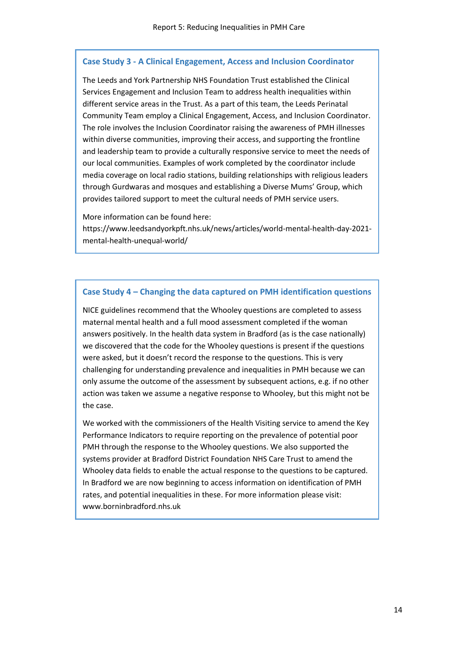### **Case Study 3 - A Clinical Engagement, Access and Inclusion Coordinator**

The Leeds and York Partnership NHS Foundation Trust established the Clinical Services Engagement and Inclusion Team to address health inequalities within different service areas in the Trust. As a part of this team, the Leeds Perinatal Community Team employ a Clinical Engagement, Access, and Inclusion Coordinator. The role involves the Inclusion Coordinator raising the awareness of PMH illnesses within diverse communities, improving their access, and supporting the frontline and leadership team to provide a culturally responsive service to meet the needs of our local communities. Examples of work completed by the coordinator include media coverage on local radio stations, building relationships with religious leaders through Gurdwaras and mosques and establishing a Diverse Mums' Group, which provides tailored support to meet the cultural needs of PMH service users.

More information can be found here:

https://www.leedsandyorkpft.nhs.uk/news/articles/world-mental-health-day-2021 mental-health-unequal-world/

#### **Case Study 4 – Changing the data captured on PMH identification questions**

NICE guidelines recommend that the Whooley questions are completed to assess maternal mental health and a full mood assessment completed if the woman answers positively. In the health data system in Bradford (as is the case nationally) we discovered that the code for the Whooley questions is present if the questions were asked, but it doesn't record the response to the questions. This is very challenging for understanding prevalence and inequalities in PMH because we can only assume the outcome of the assessment by subsequent actions, e.g. if no other action was taken we assume a negative response to Whooley, but this might not be the case.

We worked with the commissioners of the Health Visiting service to amend the Key Performance Indicators to require reporting on the prevalence of potential poor PMH through the response to the Whooley questions. We also supported the systems provider at Bradford District Foundation NHS Care Trust to amend the Whooley data fields to enable the actual response to the questions to be captured. In Bradford we are now beginning to access information on identification of PMH rates, and potential inequalities in these. For more information please visit: www.borninbradford.nhs.uk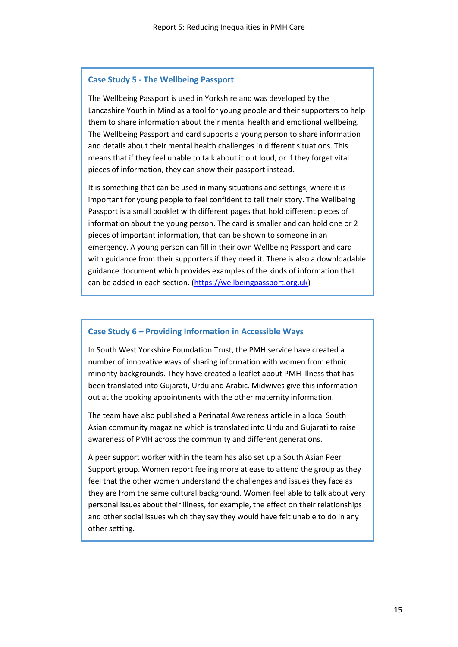#### **Case Study 5 - The Wellbeing Passport**

The Wellbeing Passport is used in Yorkshire and was developed by the Lancashire Youth in Mind as a tool for young people and their supporters to help them to share information about their mental health and emotional wellbeing. The Wellbeing Passport and card supports a young person to share information and details about their mental health challenges in different situations. This means that if they feel unable to talk about it out loud, or if they forget vital pieces of information, they can show their passport instead.

It is something that can be used in many situations and settings, where it is important for young people to feel confident to tell their story. The Wellbeing Passport is a small booklet with different pages that hold different pieces of information about the young person. The card is smaller and can hold one or 2 pieces of important information, that can be shown to someone in an emergency. A young person can fill in their own Wellbeing Passport and card with guidance from their supporters if they need it. There is also a downloadable guidance document which provides examples of the kinds of information that can be added in each section. [\(https://wellbeingpassport.org.uk\)](https://wellbeingpassport.org.uk/)

### **Case Study 6 – Providing Information in Accessible Ways**

In South West Yorkshire Foundation Trust, the PMH service have created a number of innovative ways of sharing information with women from ethnic minority backgrounds. They have created a leaflet about PMH illness that has been translated into Gujarati, Urdu and Arabic. Midwives give this information out at the booking appointments with the other maternity information.

The team have also published a Perinatal Awareness article in a local South Asian community magazine which is translated into Urdu and Gujarati to raise awareness of PMH across the community and different generations.

A peer support worker within the team has also set up a South Asian Peer Support group. Women report feeling more at ease to attend the group as they feel that the other women understand the challenges and issues they face as they are from the same cultural background. Women feel able to talk about very personal issues about their illness, for example, the effect on their relationships and other social issues which they say they would have felt unable to do in any other setting.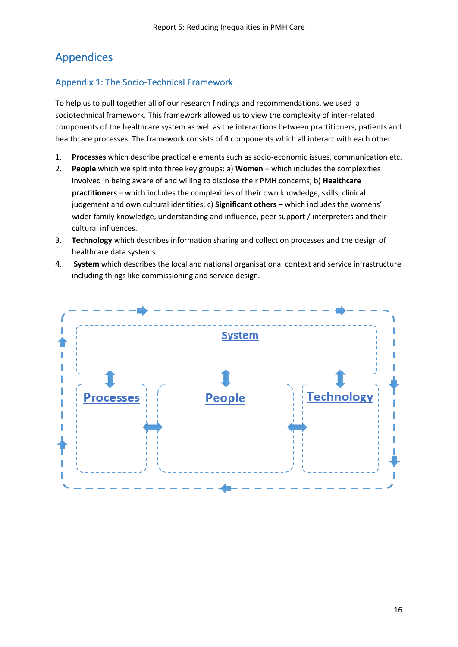## <span id="page-15-0"></span>Appendices

### Appendix 1: The Socio-Technical Framework

To help us to pull together all of our research findings and recommendations, we used a sociotechnical framework. This framework allowed us to view the complexity of inter-related components of the healthcare system as well as the interactions between practitioners, patients and healthcare processes. The framework consists of 4 components which all interact with each other:

- 1. **Processes** which describe practical elements such as socio-economic issues, communication etc.
- 2. **People** which we split into three key groups: a) **Women** which includes the complexities involved in being aware of and willing to disclose their PMH concerns; b) **Healthcare practitioners** – which includes the complexities of their own knowledge, skills, clinical judgement and own cultural identities; c) **Significant others** – which includes the womens' wider family knowledge, understanding and influence, peer support / interpreters and their cultural influences.
- 3. **Technology** which describes information sharing and collection processes and the design of healthcare data systems
- 4. **System** which describes the local and national organisational context and service infrastructure including things like commissioning and service design.

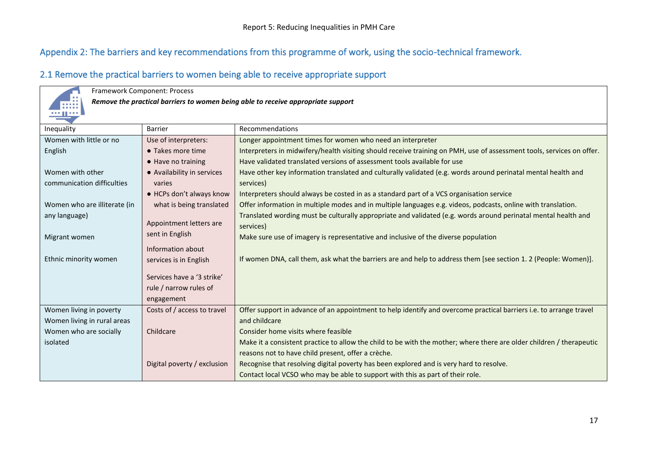### Appendix 2: The barriers and key recommendations from this programme of work, using the socio-technical framework.

### 2.1 Remove the practical barriers to women being able to receive appropriate support

| Framework Component: Process                                                     |                             |                                                                                                                       |  |
|----------------------------------------------------------------------------------|-----------------------------|-----------------------------------------------------------------------------------------------------------------------|--|
| Remove the practical barriers to women being able to receive appropriate support |                             |                                                                                                                       |  |
|                                                                                  |                             |                                                                                                                       |  |
| Inequality                                                                       | <b>Barrier</b>              | Recommendations                                                                                                       |  |
| Women with little or no                                                          | Use of interpreters:        | Longer appointment times for women who need an interpreter                                                            |  |
|                                                                                  | • Takes more time           |                                                                                                                       |  |
| English                                                                          |                             | Interpreters in midwifery/health visiting should receive training on PMH, use of assessment tools, services on offer. |  |
|                                                                                  | $\bullet$ Have no training  | Have validated translated versions of assessment tools available for use                                              |  |
| Women with other                                                                 | • Availability in services  | Have other key information translated and culturally validated (e.g. words around perinatal mental health and         |  |
| communication difficulties                                                       | varies                      | services)                                                                                                             |  |
|                                                                                  | • HCPs don't always know    | Interpreters should always be costed in as a standard part of a VCS organisation service                              |  |
| Women who are illiterate (in                                                     | what is being translated    | Offer information in multiple modes and in multiple languages e.g. videos, podcasts, online with translation.         |  |
| any language)                                                                    |                             | Translated wording must be culturally appropriate and validated (e.g. words around perinatal mental health and        |  |
|                                                                                  | Appointment letters are     | services)                                                                                                             |  |
| Migrant women                                                                    | sent in English             | Make sure use of imagery is representative and inclusive of the diverse population                                    |  |
|                                                                                  | Information about           |                                                                                                                       |  |
| Ethnic minority women                                                            | services is in English      | If women DNA, call them, ask what the barriers are and help to address them [see section 1. 2 (People: Women)].       |  |
|                                                                                  |                             |                                                                                                                       |  |
|                                                                                  | Services have a '3 strike'  |                                                                                                                       |  |
|                                                                                  | rule / narrow rules of      |                                                                                                                       |  |
|                                                                                  | engagement                  |                                                                                                                       |  |
| Women living in poverty                                                          | Costs of / access to travel | Offer support in advance of an appointment to help identify and overcome practical barriers i.e. to arrange travel    |  |
| Women living in rural areas                                                      |                             | and childcare                                                                                                         |  |
| Women who are socially                                                           | Childcare                   | Consider home visits where feasible                                                                                   |  |
| isolated                                                                         |                             | Make it a consistent practice to allow the child to be with the mother; where there are older children / therapeutic  |  |
|                                                                                  |                             | reasons not to have child present, offer a crèche.                                                                    |  |
|                                                                                  |                             |                                                                                                                       |  |
|                                                                                  | Digital poverty / exclusion | Recognise that resolving digital poverty has been explored and is very hard to resolve.                               |  |
|                                                                                  |                             | Contact local VCSO who may be able to support with this as part of their role.                                        |  |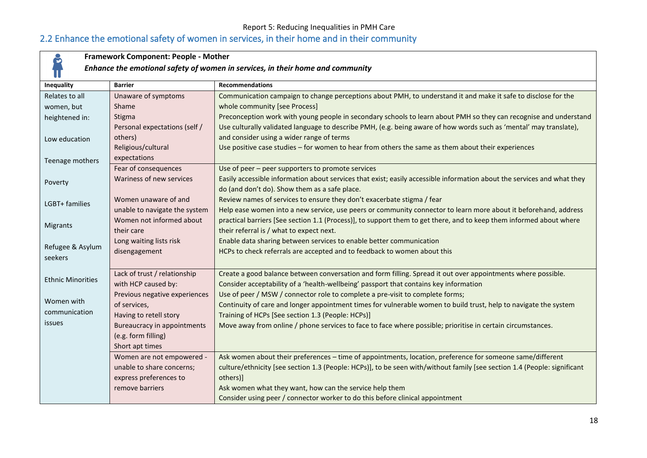### Report 5: Reducing Inequalities in PMH Care

## 2.2 Enhance the emotional safety of women in services, in their home and in their community

| Framework Component: People - Mother<br>ဗိ                                     |                               |                                                                                                                          |
|--------------------------------------------------------------------------------|-------------------------------|--------------------------------------------------------------------------------------------------------------------------|
| Enhance the emotional safety of women in services, in their home and community |                               |                                                                                                                          |
| Inequality                                                                     | <b>Barrier</b>                | <b>Recommendations</b>                                                                                                   |
| Relates to all                                                                 | Unaware of symptoms           | Communication campaign to change perceptions about PMH, to understand it and make it safe to disclose for the            |
| women, but                                                                     | Shame                         | whole community [see Process]                                                                                            |
| heightened in:                                                                 | Stigma                        | Preconception work with young people in secondary schools to learn about PMH so they can recognise and understand        |
|                                                                                | Personal expectations (self / | Use culturally validated language to describe PMH, (e.g. being aware of how words such as 'mental' may translate),       |
| Low education                                                                  | others)                       | and consider using a wider range of terms                                                                                |
|                                                                                | Religious/cultural            | Use positive case studies - for women to hear from others the same as them about their experiences                       |
| Teenage mothers                                                                | expectations                  |                                                                                                                          |
|                                                                                | Fear of consequences          | Use of peer - peer supporters to promote services                                                                        |
| Poverty                                                                        | Wariness of new services      | Easily accessible information about services that exist; easily accessible information about the services and what they  |
|                                                                                |                               | do (and don't do). Show them as a safe place.                                                                            |
| LGBT+ families                                                                 | Women unaware of and          | Review names of services to ensure they don't exacerbate stigma / fear                                                   |
|                                                                                | unable to navigate the system | Help ease women into a new service, use peers or community connector to learn more about it beforehand, address          |
| Migrants                                                                       | Women not informed about      | practical barriers [See section 1.1 (Process)], to support them to get there, and to keep them informed about where      |
|                                                                                | their care                    | their referral is / what to expect next.                                                                                 |
| Refugee & Asylum                                                               | Long waiting lists risk       | Enable data sharing between services to enable better communication                                                      |
| seekers                                                                        | disengagement                 | HCPs to check referrals are accepted and to feedback to women about this                                                 |
|                                                                                |                               |                                                                                                                          |
| <b>Ethnic Minorities</b>                                                       | Lack of trust / relationship  | Create a good balance between conversation and form filling. Spread it out over appointments where possible.             |
|                                                                                | with HCP caused by:           | Consider acceptability of a 'health-wellbeing' passport that contains key information                                    |
| Women with                                                                     | Previous negative experiences | Use of peer / MSW / connector role to complete a pre-visit to complete forms;                                            |
| communication                                                                  | of services,                  | Continuity of care and longer appointment times for vulnerable women to build trust, help to navigate the system         |
|                                                                                | Having to retell story        | Training of HCPs [See section 1.3 (People: HCPs)]                                                                        |
| issues                                                                         | Bureaucracy in appointments   | Move away from online / phone services to face to face where possible; prioritise in certain circumstances.              |
|                                                                                | (e.g. form filling)           |                                                                                                                          |
|                                                                                | Short apt times               |                                                                                                                          |
|                                                                                | Women are not empowered -     | Ask women about their preferences - time of appointments, location, preference for someone same/different                |
|                                                                                | unable to share concerns;     | culture/ethnicity [see section 1.3 (People: HCPs)], to be seen with/without family [see section 1.4 (People: significant |
|                                                                                | express preferences to        | others)]                                                                                                                 |
|                                                                                | remove barriers               | Ask women what they want, how can the service help them                                                                  |
|                                                                                |                               | Consider using peer / connector worker to do this before clinical appointment                                            |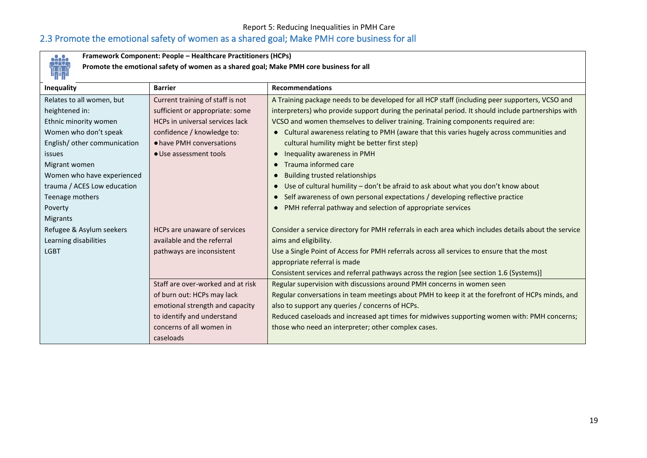### Report 5: Reducing Inequalities in PMH Care

## 2.3 Promote the emotional safety of women as a shared goal; Make PMH core business for all



**Framework Component: People – Healthcare Practitioners (HCPs)**

**Promote the emotional safety of women as a shared goal; Make PMH core business for all**

| <b>Inequality</b>            | <b>Barrier</b>                    | <b>Recommendations</b>                                                                                |
|------------------------------|-----------------------------------|-------------------------------------------------------------------------------------------------------|
| Relates to all women, but    | Current training of staff is not  | A Training package needs to be developed for all HCP staff (including peer supporters, VCSO and       |
| heightened in:               | sufficient or appropriate: some   | interpreters) who provide support during the perinatal period. It should include partnerships with    |
| Ethnic minority women        | HCPs in universal services lack   | VCSO and women themselves to deliver training. Training components required are:                      |
| Women who don't speak        | confidence / knowledge to:        | Cultural awareness relating to PMH (aware that this varies hugely across communities and<br>$\bullet$ |
| English/ other communication | • have PMH conversations          | cultural humility might be better first step)                                                         |
| issues                       | • Use assessment tools            | Inequality awareness in PMH<br>$\bullet$                                                              |
| Migrant women                |                                   | Trauma informed care<br>$\bullet$                                                                     |
| Women who have experienced   |                                   | <b>Building trusted relationships</b><br>$\bullet$                                                    |
| trauma / ACES Low education  |                                   | Use of cultural humility - don't be afraid to ask about what you don't know about                     |
| Teenage mothers              |                                   | Self awareness of own personal expectations / developing reflective practice                          |
| Poverty                      |                                   | PMH referral pathway and selection of appropriate services                                            |
| Migrants                     |                                   |                                                                                                       |
| Refugee & Asylum seekers     | HCPs are unaware of services      | Consider a service directory for PMH referrals in each area which includes details about the service  |
| Learning disabilities        | available and the referral        | aims and eligibility.                                                                                 |
| <b>LGBT</b>                  | pathways are inconsistent         | Use a Single Point of Access for PMH referrals across all services to ensure that the most            |
|                              |                                   | appropriate referral is made                                                                          |
|                              |                                   | Consistent services and referral pathways across the region [see section 1.6 (Systems)]               |
|                              | Staff are over-worked and at risk | Regular supervision with discussions around PMH concerns in women seen                                |
|                              | of burn out: HCPs may lack        | Regular conversations in team meetings about PMH to keep it at the forefront of HCPs minds, and       |
|                              | emotional strength and capacity   | also to support any queries / concerns of HCPs.                                                       |
|                              | to identify and understand        | Reduced caseloads and increased apt times for midwives supporting women with: PMH concerns;           |
|                              | concerns of all women in          | those who need an interpreter; other complex cases.                                                   |
|                              | caseloads                         |                                                                                                       |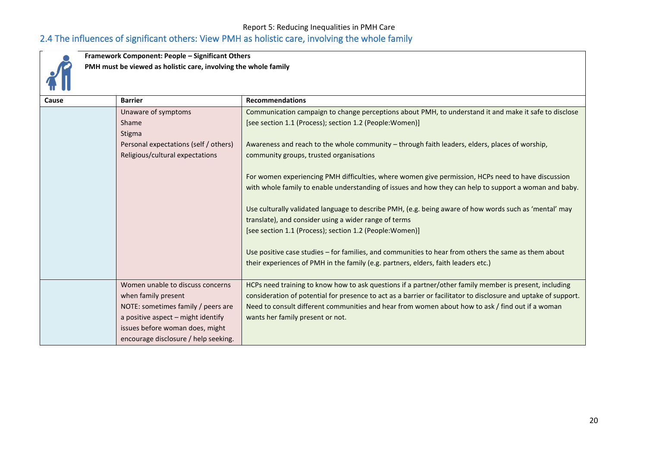### Report 5: Reducing Inequalities in PMH Care 2.4 The influences of significant others: View PMH as holistic care, involving the whole family



**Framework Component: People – Significant Others**

**PMH must be viewed as holistic care, involving the whole family**

| Cause | <b>Barrier</b>                        | <b>Recommendations</b>                                                                                          |
|-------|---------------------------------------|-----------------------------------------------------------------------------------------------------------------|
|       | Unaware of symptoms                   | Communication campaign to change perceptions about PMH, to understand it and make it safe to disclose           |
|       | Shame                                 | [see section 1.1 (Process); section 1.2 (People: Women)]                                                        |
|       | Stigma                                |                                                                                                                 |
|       | Personal expectations (self / others) | Awareness and reach to the whole community - through faith leaders, elders, places of worship,                  |
|       | Religious/cultural expectations       | community groups, trusted organisations                                                                         |
|       |                                       |                                                                                                                 |
|       |                                       | For women experiencing PMH difficulties, where women give permission, HCPs need to have discussion              |
|       |                                       | with whole family to enable understanding of issues and how they can help to support a woman and baby.          |
|       |                                       |                                                                                                                 |
|       |                                       | Use culturally validated language to describe PMH, (e.g. being aware of how words such as 'mental' may          |
|       |                                       | translate), and consider using a wider range of terms                                                           |
|       |                                       | [see section 1.1 (Process); section 1.2 (People: Women)]                                                        |
|       |                                       |                                                                                                                 |
|       |                                       | Use positive case studies - for families, and communities to hear from others the same as them about            |
|       |                                       | their experiences of PMH in the family (e.g. partners, elders, faith leaders etc.)                              |
|       |                                       |                                                                                                                 |
|       | Women unable to discuss concerns      | HCPs need training to know how to ask questions if a partner/other family member is present, including          |
|       | when family present                   | consideration of potential for presence to act as a barrier or facilitator to disclosure and uptake of support. |
|       | NOTE: sometimes family / peers are    | Need to consult different communities and hear from women about how to ask / find out if a woman                |
|       | a positive aspect - might identify    | wants her family present or not.                                                                                |
|       | issues before woman does, might       |                                                                                                                 |
|       | encourage disclosure / help seeking.  |                                                                                                                 |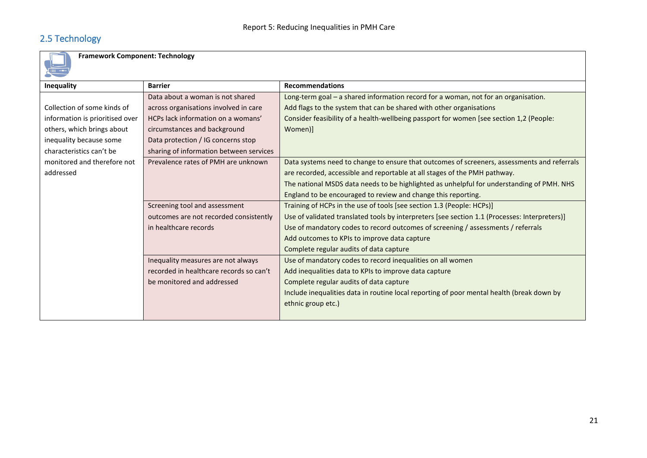## 2.5 Technology

**Framework Component: Technology**

| <b>Inequality</b>               | <b>Barrier</b>                          | <b>Recommendations</b>                                                                        |  |
|---------------------------------|-----------------------------------------|-----------------------------------------------------------------------------------------------|--|
|                                 | Data about a woman is not shared        | Long-term goal - a shared information record for a woman, not for an organisation.            |  |
| Collection of some kinds of     | across organisations involved in care   | Add flags to the system that can be shared with other organisations                           |  |
| information is prioritised over | HCPs lack information on a womans'      | Consider feasibility of a health-wellbeing passport for women [see section 1,2 (People:       |  |
| others, which brings about      | circumstances and background            | Women)]                                                                                       |  |
| inequality because some         | Data protection / IG concerns stop      |                                                                                               |  |
| characteristics can't be        | sharing of information between services |                                                                                               |  |
| monitored and therefore not     | Prevalence rates of PMH are unknown     | Data systems need to change to ensure that outcomes of screeners, assessments and referrals   |  |
| addressed                       |                                         | are recorded, accessible and reportable at all stages of the PMH pathway.                     |  |
|                                 |                                         | The national MSDS data needs to be highlighted as unhelpful for understanding of PMH. NHS     |  |
|                                 |                                         | England to be encouraged to review and change this reporting.                                 |  |
|                                 | Screening tool and assessment           | Training of HCPs in the use of tools [see section 1.3 (People: HCPs)]                         |  |
|                                 | outcomes are not recorded consistently  | Use of validated translated tools by interpreters [see section 1.1 (Processes: Interpreters)] |  |
|                                 | in healthcare records                   | Use of mandatory codes to record outcomes of screening / assessments / referrals              |  |
|                                 |                                         | Add outcomes to KPIs to improve data capture                                                  |  |
|                                 |                                         | Complete regular audits of data capture                                                       |  |
|                                 | Inequality measures are not always      | Use of mandatory codes to record inequalities on all women                                    |  |
|                                 | recorded in healthcare records so can't | Add inequalities data to KPIs to improve data capture                                         |  |
|                                 | be monitored and addressed              | Complete regular audits of data capture                                                       |  |
|                                 |                                         | Include inequalities data in routine local reporting of poor mental health (break down by     |  |
|                                 |                                         | ethnic group etc.)                                                                            |  |
|                                 |                                         |                                                                                               |  |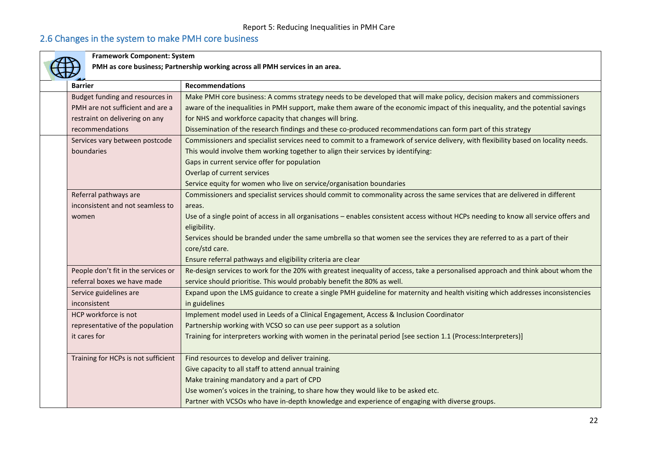## 2.6 Changes in the system to make PMH core business

| <b>Framework Component: System</b>  |                                                                                                                                                      |  |
|-------------------------------------|------------------------------------------------------------------------------------------------------------------------------------------------------|--|
|                                     | PMH as core business; Partnership working across all PMH services in an area.                                                                        |  |
| <b>Barrier</b>                      | <b>Recommendations</b>                                                                                                                               |  |
| Budget funding and resources in     | Make PMH core business: A comms strategy needs to be developed that will make policy, decision makers and commissioners                              |  |
| PMH are not sufficient and are a    | aware of the inequalities in PMH support, make them aware of the economic impact of this inequality, and the potential savings                       |  |
| restraint on delivering on any      | for NHS and workforce capacity that changes will bring.                                                                                              |  |
| recommendations                     | Dissemination of the research findings and these co-produced recommendations can form part of this strategy                                          |  |
| Services vary between postcode      | Commissioners and specialist services need to commit to a framework of service delivery, with flexibility based on locality needs.                   |  |
| boundaries                          | This would involve them working together to align their services by identifying:                                                                     |  |
|                                     | Gaps in current service offer for population                                                                                                         |  |
|                                     | Overlap of current services                                                                                                                          |  |
|                                     | Service equity for women who live on service/organisation boundaries                                                                                 |  |
| Referral pathways are               | Commissioners and specialist services should commit to commonality across the same services that are delivered in different                          |  |
| inconsistent and not seamless to    | areas.                                                                                                                                               |  |
| women                               | Use of a single point of access in all organisations - enables consistent access without HCPs needing to know all service offers and<br>eligibility. |  |
|                                     | Services should be branded under the same umbrella so that women see the services they are referred to as a part of their<br>core/std care.          |  |
|                                     | Ensure referral pathways and eligibility criteria are clear                                                                                          |  |
| People don't fit in the services or | Re-design services to work for the 20% with greatest inequality of access, take a personalised approach and think about whom the                     |  |
| referral boxes we have made         | service should prioritise. This would probably benefit the 80% as well.                                                                              |  |
| Service guidelines are              | Expand upon the LMS guidance to create a single PMH guideline for maternity and health visiting which addresses inconsistencies                      |  |
| inconsistent                        | in guidelines                                                                                                                                        |  |
| HCP workforce is not                | Implement model used in Leeds of a Clinical Engagement, Access & Inclusion Coordinator                                                               |  |
| representative of the population    | Partnership working with VCSO so can use peer support as a solution                                                                                  |  |
| it cares for                        | Training for interpreters working with women in the perinatal period [see section 1.1 (Process: Interpreters)]                                       |  |
| Training for HCPs is not sufficient | Find resources to develop and deliver training.                                                                                                      |  |
|                                     | Give capacity to all staff to attend annual training                                                                                                 |  |
|                                     | Make training mandatory and a part of CPD                                                                                                            |  |
|                                     | Use women's voices in the training, to share how they would like to be asked etc.                                                                    |  |
|                                     | Partner with VCSOs who have in-depth knowledge and experience of engaging with diverse groups.                                                       |  |